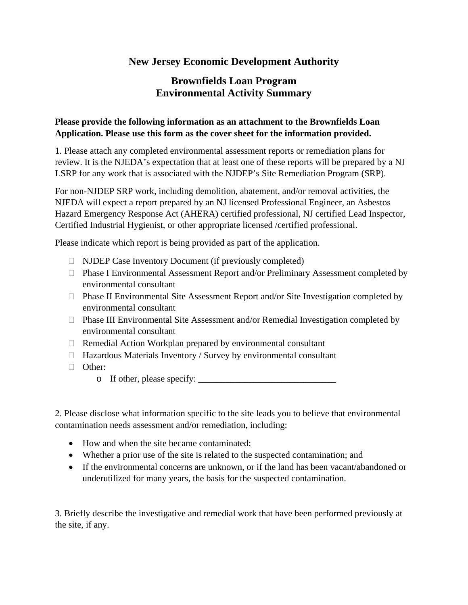## **New Jersey Economic Development Authority**

## **Brownfields Loan Program Environmental Activity Summary**

## **Please provide the following information as an attachment to the Brownfields Loan Application. Please use this form as the cover sheet for the information provided.**

1. Please attach any completed environmental assessment reports or remediation plans for review. It is the NJEDA's expectation that at least one of these reports will be prepared by a NJ LSRP for any work that is associated with the NJDEP's Site Remediation Program (SRP).

For non-NJDEP SRP work, including demolition, abatement, and/or removal activities, the NJEDA will expect a report prepared by an NJ licensed Professional Engineer, an Asbestos Hazard Emergency Response Act (AHERA) certified professional, NJ certified Lead Inspector, Certified Industrial Hygienist, or other appropriate licensed /certified professional.

Please indicate which report is being provided as part of the application.

- $\Box$  NJDEP Case Inventory Document (if previously completed)
- Phase I Environmental Assessment Report and/or Preliminary Assessment completed by environmental consultant
- $\Box$  Phase II Environmental Site Assessment Report and/or Site Investigation completed by environmental consultant
- $\Box$  Phase III Environmental Site Assessment and/or Remedial Investigation completed by environmental consultant
- $\Box$  Remedial Action Workplan prepared by environmental consultant
- $\Box$  Hazardous Materials Inventory / Survey by environmental consultant
- □ Other:
	- o If other, please specify: \_\_\_\_\_\_\_\_\_\_\_\_\_\_\_\_\_\_\_\_\_\_\_\_\_\_\_\_\_\_

2. Please disclose what information specific to the site leads you to believe that environmental contamination needs assessment and/or remediation, including:

- How and when the site became contaminated;
- Whether a prior use of the site is related to the suspected contamination; and
- If the environmental concerns are unknown, or if the land has been vacant/abandoned or underutilized for many years, the basis for the suspected contamination.

3. Briefly describe the investigative and remedial work that have been performed previously at the site, if any.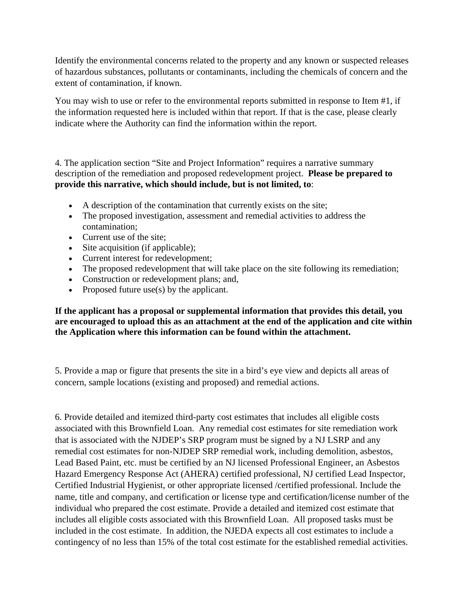Identify the environmental concerns related to the property and any known or suspected releases of hazardous substances, pollutants or contaminants, including the chemicals of concern and the extent of contamination, if known.

You may wish to use or refer to the environmental reports submitted in response to Item #1, if the information requested here is included within that report. If that is the case, please clearly indicate where the Authority can find the information within the report.

4. The application section "Site and Project Information" requires a narrative summary description of the remediation and proposed redevelopment project. **Please be prepared to provide this narrative, which should include, but is not limited, to**:

- A description of the contamination that currently exists on the site;
- The proposed investigation, assessment and remedial activities to address the contamination;
- Current use of the site;
- Site acquisition (if applicable);
- Current interest for redevelopment;
- The proposed redevelopment that will take place on the site following its remediation;
- Construction or redevelopment plans; and,
- Proposed future use(s) by the applicant.

## **If the applicant has a proposal or supplemental information that provides this detail, you are encouraged to upload this as an attachment at the end of the application and cite within the Application where this information can be found within the attachment.**

5. Provide a map or figure that presents the site in a bird's eye view and depicts all areas of concern, sample locations (existing and proposed) and remedial actions.

6. Provide detailed and itemized third-party cost estimates that includes all eligible costs associated with this Brownfield Loan. Any remedial cost estimates for site remediation work that is associated with the NJDEP's SRP program must be signed by a NJ LSRP and any remedial cost estimates for non-NJDEP SRP remedial work, including demolition, asbestos, Lead Based Paint, etc. must be certified by an NJ licensed Professional Engineer, an Asbestos Hazard Emergency Response Act (AHERA) certified professional, NJ certified Lead Inspector, Certified Industrial Hygienist, or other appropriate licensed /certified professional. Include the name, title and company, and certification or license type and certification/license number of the individual who prepared the cost estimate. Provide a detailed and itemized cost estimate that includes all eligible costs associated with this Brownfield Loan. All proposed tasks must be included in the cost estimate. In addition, the NJEDA expects all cost estimates to include a contingency of no less than 15% of the total cost estimate for the established remedial activities.